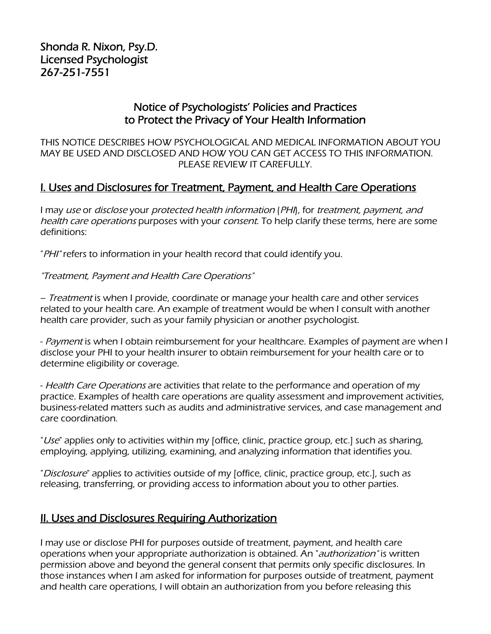## Notice of Psychologists' Policies and Practices to Protect the Privacy of Your Health Information

THIS NOTICE DESCRIBES HOW PSYCHOLOGICAL AND MEDICAL INFORMATION ABOUT YOU MAY BE USED AND DISCLOSED AND HOW YOU CAN GET ACCESS TO THIS INFORMATION. PLEASE REVIEW IT CAREFULLY.

## I. Uses and Disclosures for Treatment, Payment, and Health Care Operations

I may use or disclose your protected health information (PHI), for treatment, payment, and health care operations purposes with your consent. To help clarify these terms, here are some definitions:

"PHI" refers to information in your health record that could identify you.

#### "Treatment, Payment and Health Care Operations"

– Treatment is when I provide, coordinate or manage your health care and other services related to your health care. An example of treatment would be when I consult with another health care provider, such as your family physician or another psychologist.

- Payment is when I obtain reimbursement for your healthcare. Examples of payment are when I disclose your PHI to your health insurer to obtain reimbursement for your health care or to determine eligibility or coverage.

- Health Care Operations are activities that relate to the performance and operation of my practice. Examples of health care operations are quality assessment and improvement activities, business-related matters such as audits and administrative services, and case management and care coordination.

"Use" applies only to activities within my [office, clinic, practice group, etc.] such as sharing, employing, applying, utilizing, examining, and analyzing information that identifies you.

"Disclosure" applies to activities outside of my [office, clinic, practice group, etc.], such as releasing, transferring, or providing access to information about you to other parties.

### **II. Uses and Disclosures Requiring Authorization**

I may use or disclose PHI for purposes outside of treatment, payment, and health care operations when your appropriate authorization is obtained. An "authorization" is written permission above and beyond the general consent that permits only specific disclosures. In those instances when I am asked for information for purposes outside of treatment, payment and health care operations, I will obtain an authorization from you before releasing this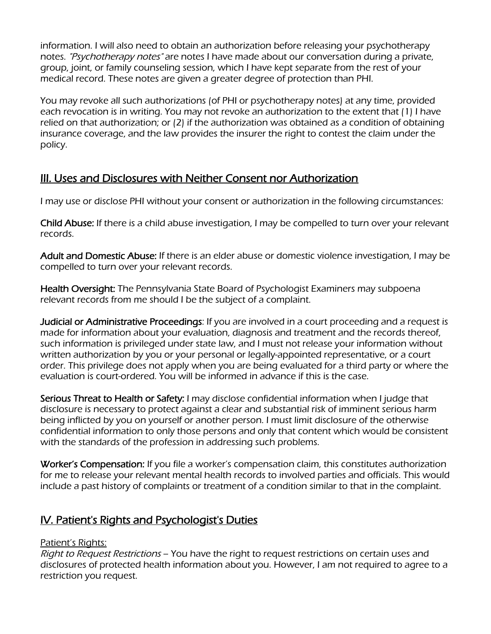information. I will also need to obtain an authorization before releasing your psychotherapy notes. "Psychotherapy notes" are notes I have made about our conversation during a private, group, joint, or family counseling session, which I have kept separate from the rest of your medical record. These notes are given a greater degree of protection than PHI.

You may revoke all such authorizations (of PHI or psychotherapy notes) at any time, provided each revocation is in writing. You may not revoke an authorization to the extent that (1) I have relied on that authorization; or (2) if the authorization was obtained as a condition of obtaining insurance coverage, and the law provides the insurer the right to contest the claim under the policy.

# III. Uses and Disclosures with Neither Consent nor Authorization

I may use or disclose PHI without your consent or authorization in the following circumstances:

Child Abuse: If there is a child abuse investigation, I may be compelled to turn over your relevant records.

Adult and Domestic Abuse: If there is an elder abuse or domestic violence investigation, I may be compelled to turn over your relevant records.

**Health Oversight:** The Pennsylvania State Board of Psychologist Examiners may subpoena relevant records from me should I be the subject of a complaint.

Judicial or Administrative Proceedings: If you are involved in a court proceeding and a request is made for information about your evaluation, diagnosis and treatment and the records thereof, such information is privileged under state law, and I must not release your information without written authorization by you or your personal or legally-appointed representative, or a court order. This privilege does not apply when you are being evaluated for a third party or where the evaluation is court-ordered. You will be informed in advance if this is the case.

Serious Threat to Health or Safety: I may disclose confidential information when I judge that disclosure is necessary to protect against a clear and substantial risk of imminent serious harm being inflicted by you on yourself or another person. I must limit disclosure of the otherwise confidential information to only those persons and only that content which would be consistent with the standards of the profession in addressing such problems.

Worker's Compensation: If you file a worker's compensation claim, this constitutes authorization for me to release your relevant mental health records to involved parties and officials. This would include a past history of complaints or treatment of a condition similar to that in the complaint.

### IV. Patient's Rights and Psychologist's Duties

#### Patient's Rights:

Right to Request Restrictions – You have the right to request restrictions on certain uses and disclosures of protected health information about you. However, I am not required to agree to a restriction you request.